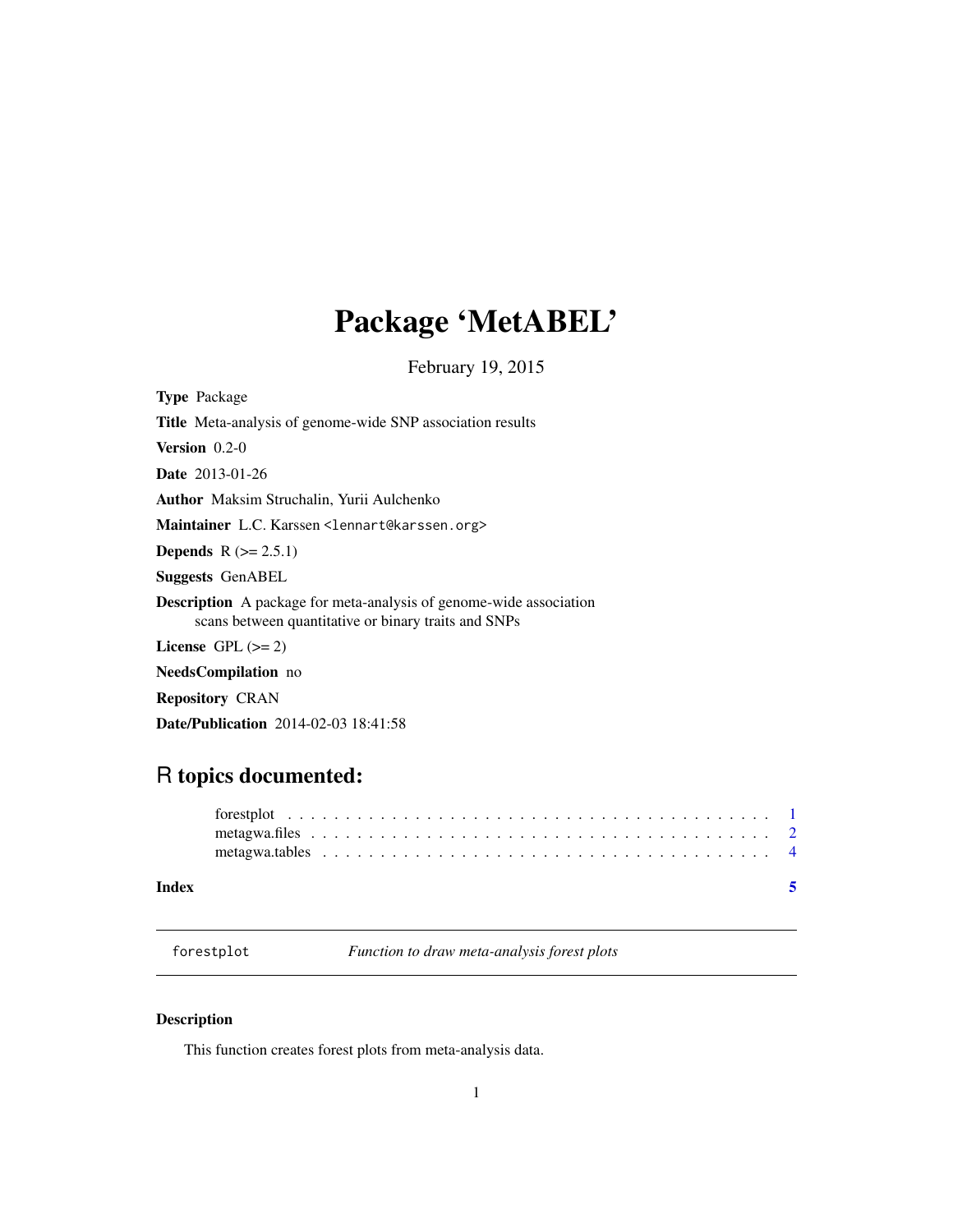## <span id="page-0-0"></span>Package 'MetABEL'

February 19, 2015

Type Package

| <b>Title</b> Meta-analysis of genome-wide SNP association results                                                                 |
|-----------------------------------------------------------------------------------------------------------------------------------|
| <b>Version</b> $0.2-0$                                                                                                            |
| <b>Date</b> 2013-01-26                                                                                                            |
| Author Maksim Struchalin, Yurii Aulchenko                                                                                         |
| Maintainer L.C. Karssen <lennart@karssen.org></lennart@karssen.org>                                                               |
| <b>Depends</b> $R (= 2.5.1)$                                                                                                      |
| <b>Suggests GenABEL</b>                                                                                                           |
| <b>Description</b> A package for meta-analysis of genome-wide association<br>scans between quantitative or binary traits and SNPs |
| License $GPL \, (>= 2)$                                                                                                           |
| $N_{\alpha\alpha}d_{\alpha}C_{\alpha}$ mulletian no                                                                               |

NeedsCompilation no

Repository CRAN

Date/Publication 2014-02-03 18:41:58

### R topics documented:

| Index |  |
|-------|--|
|       |  |
|       |  |

forestplot *Function to draw meta-analysis forest plots*

### Description

This function creates forest plots from meta-analysis data.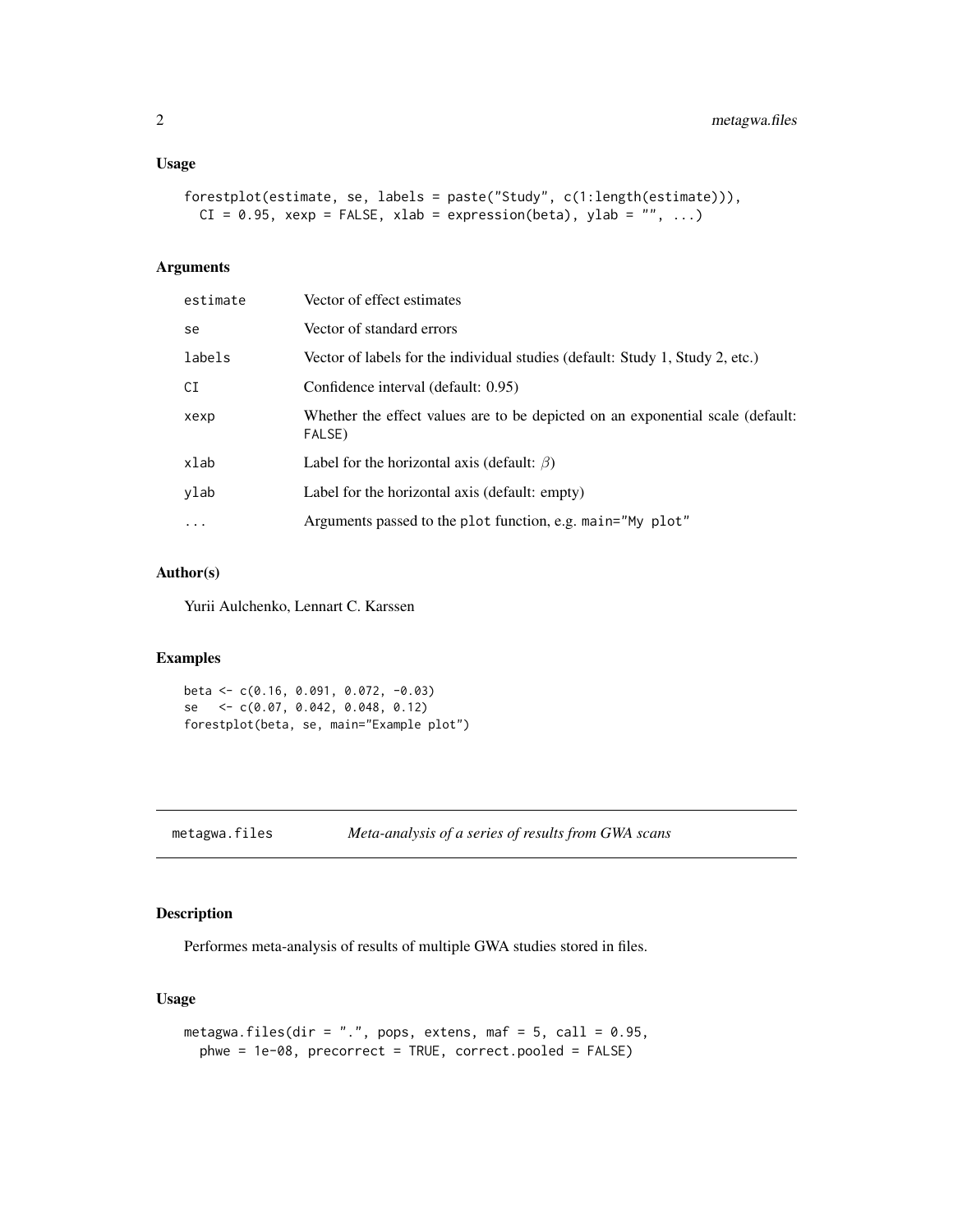#### <span id="page-1-0"></span>Usage

```
forestplot(estimate, se, labels = paste("Study", c(1:length(estimate))),
 CI = 0.95, xexp = FALSE, xlab = expression(beta), ylab = ''', ...
```
#### Arguments

| estimate | Vector of effect estimates                                                               |
|----------|------------------------------------------------------------------------------------------|
| se       | Vector of standard errors                                                                |
| labels   | Vector of labels for the individual studies (default: Study 1, Study 2, etc.)            |
| СI       | Confidence interval (default: 0.95)                                                      |
| xexp     | Whether the effect values are to be depicted on an exponential scale (default:<br>FALSE) |
| xlab     | Label for the horizontal axis (default: $\beta$ )                                        |
| ylab     | Label for the horizontal axis (default: empty)                                           |
| $\cdots$ | Arguments passed to the plot function, e.g. main="My plot"                               |
|          |                                                                                          |

#### Author(s)

Yurii Aulchenko, Lennart C. Karssen

#### Examples

```
beta <- c(0.16, 0.091, 0.072, -0.03)
se <- c(0.07, 0.042, 0.048, 0.12)
forestplot(beta, se, main="Example plot")
```
<span id="page-1-1"></span>metagwa.files *Meta-analysis of a series of results from GWA scans*

#### Description

Performes meta-analysis of results of multiple GWA studies stored in files.

#### Usage

```
metagwa.files(dir = ".", pops, extens, maf = 5, call = 0.95,
 phwe = 1e-08, precorrect = TRUE, correct.pooled = FALSE)
```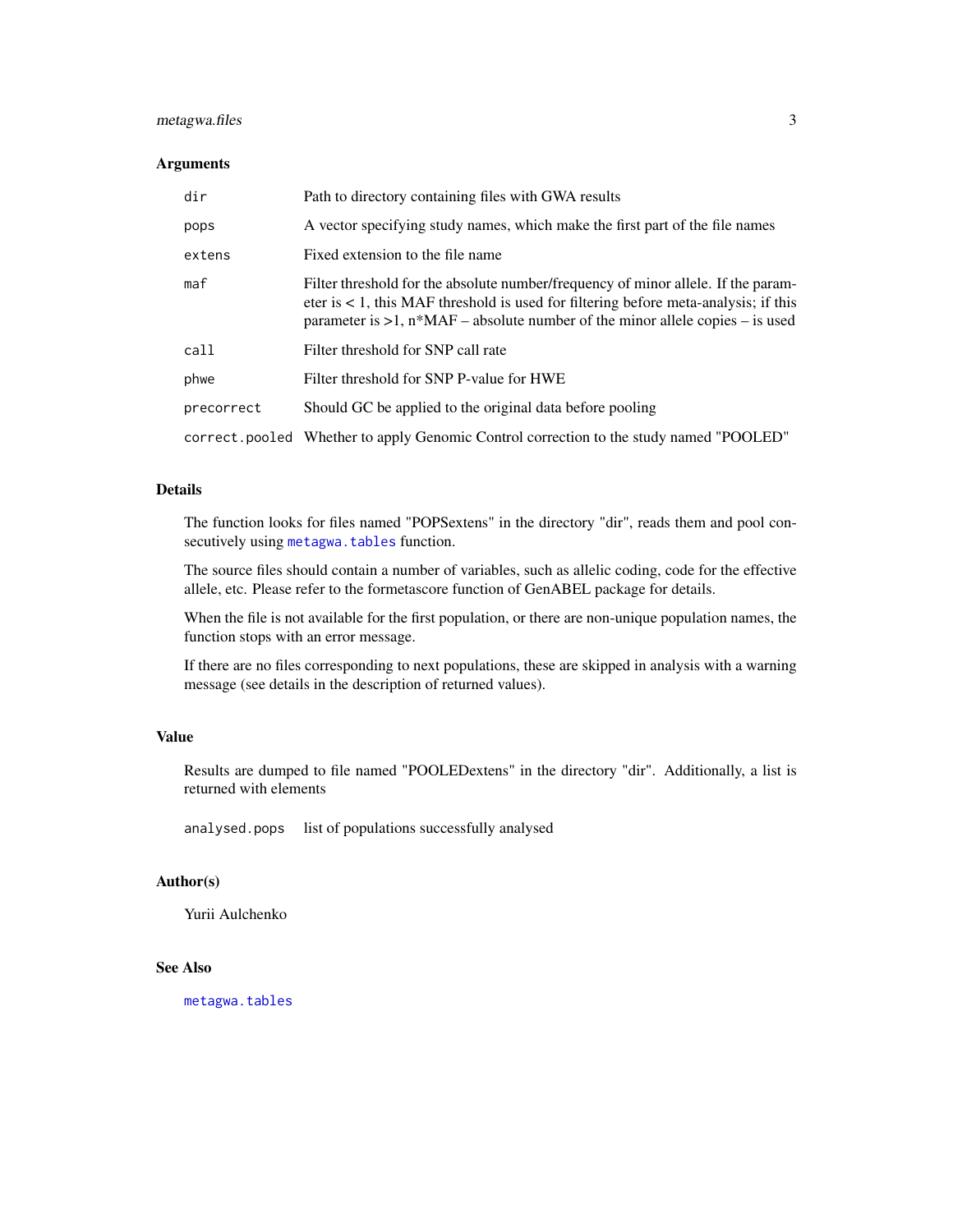#### <span id="page-2-0"></span>metagwa.files 3

#### Arguments

| dir        | Path to directory containing files with GWA results                                                                                                                                                                                                                 |
|------------|---------------------------------------------------------------------------------------------------------------------------------------------------------------------------------------------------------------------------------------------------------------------|
| pops       | A vector specifying study names, which make the first part of the file names                                                                                                                                                                                        |
| extens     | Fixed extension to the file name                                                                                                                                                                                                                                    |
| maf        | Filter threshold for the absolute number/frequency of minor allele. If the param-<br>eter is $\lt 1$ , this MAF threshold is used for filtering before meta-analysis; if this<br>parameter is $>1$ , $n*MAF$ – absolute number of the minor allele copies – is used |
| call       | Filter threshold for SNP call rate                                                                                                                                                                                                                                  |
| phwe       | Filter threshold for SNP P-value for HWE                                                                                                                                                                                                                            |
| precorrect | Should GC be applied to the original data before pooling                                                                                                                                                                                                            |
|            | correct. pooled Whether to apply Genomic Control correction to the study named "POOLED"                                                                                                                                                                             |

#### Details

The function looks for files named "POPSextens" in the directory "dir", reads them and pool consecutively using [metagwa.tables](#page-3-1) function.

The source files should contain a number of variables, such as allelic coding, code for the effective allele, etc. Please refer to the formetascore function of GenABEL package for details.

When the file is not available for the first population, or there are non-unique population names, the function stops with an error message.

If there are no files corresponding to next populations, these are skipped in analysis with a warning message (see details in the description of returned values).

### Value

Results are dumped to file named "POOLEDextens" in the directory "dir". Additionally, a list is returned with elements

analysed.pops list of populations successfully analysed

#### Author(s)

Yurii Aulchenko

#### See Also

[metagwa.tables](#page-3-1)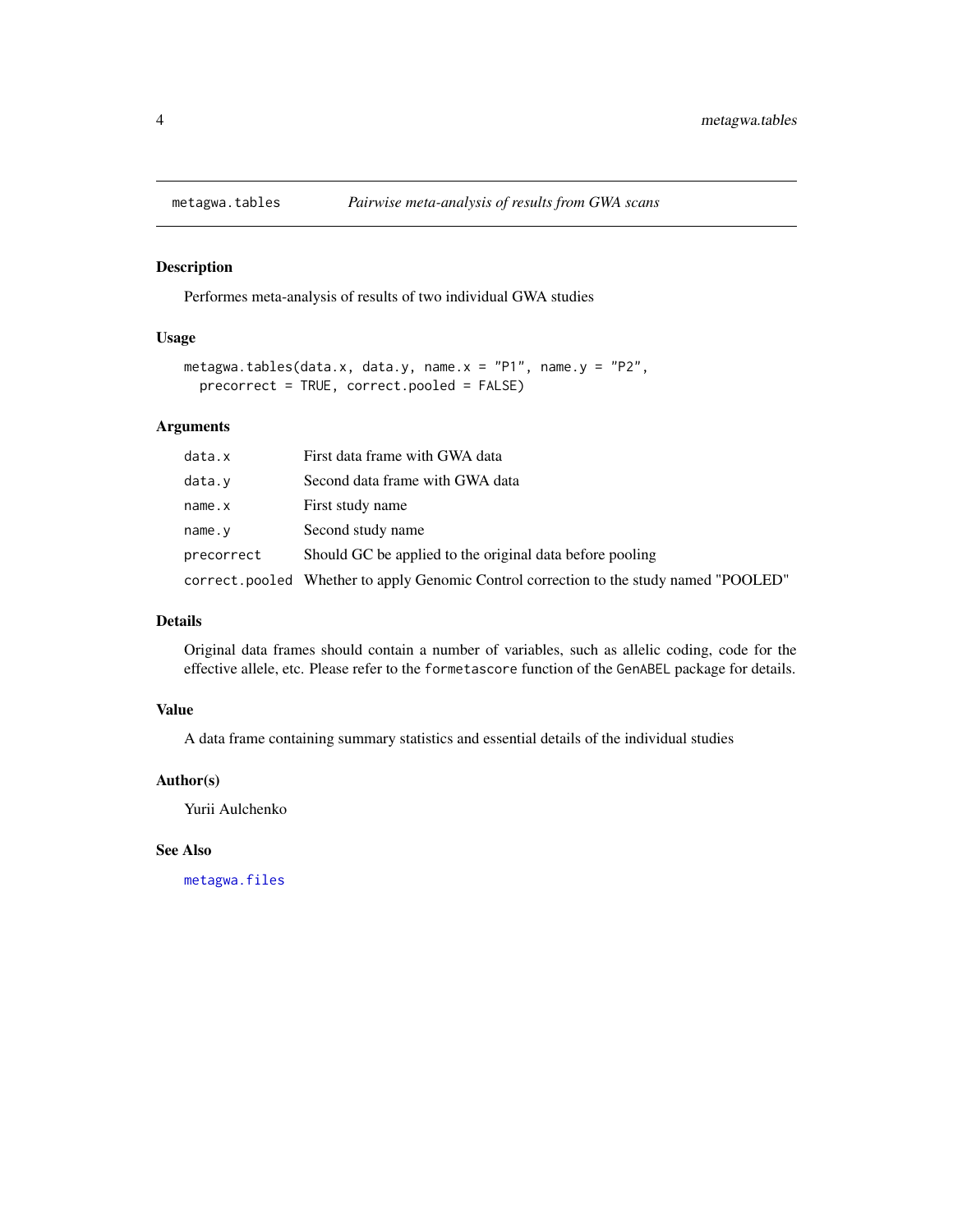<span id="page-3-1"></span><span id="page-3-0"></span>

#### Description

Performes meta-analysis of results of two individual GWA studies

#### Usage

```
metagwa.tables(data.x, data.y, name.x = "P1", name.y = "P2",
  precorrect = TRUE, correct.pooled = FALSE)
```
#### Arguments

| data.x     | First data frame with GWA data                                                         |
|------------|----------------------------------------------------------------------------------------|
| data.v     | Second data frame with GWA data                                                        |
| name.x     | First study name                                                                       |
| name.y     | Second study name                                                                      |
| precorrect | Should GC be applied to the original data before pooling                               |
|            | correct.pooled Whether to apply Genomic Control correction to the study named "POOLED" |

#### Details

Original data frames should contain a number of variables, such as allelic coding, code for the effective allele, etc. Please refer to the formetascore function of the GenABEL package for details.

#### Value

A data frame containing summary statistics and essential details of the individual studies

#### Author(s)

Yurii Aulchenko

#### See Also

[metagwa.files](#page-1-1)